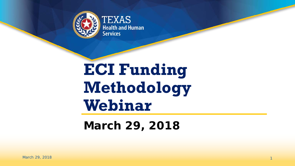

TEXAS **Health and Human Services** 

# **ECI Funding Methodology Webinar**

#### **March 29, 2018**

1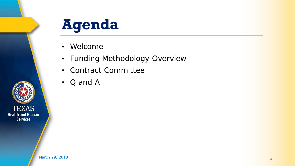

- Welcome
- Funding Methodology Overview
- Contract Committee
- Q and A

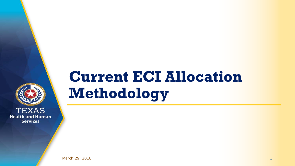

# **Current ECI Allocation Methodology**

March 29, 2018 3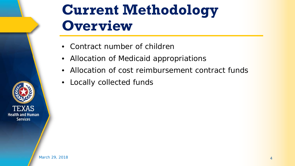

#### **Current Methodology Overview**

- Contract number of children
- Allocation of Medicaid appropriations
- Allocation of cost reimbursement contract funds
- Locally collected funds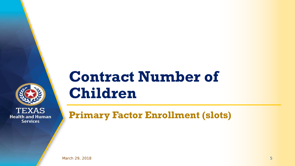

#### **Contract Number of Children**

**Primary Factor Enrollment (slots)**

March 29, 2018 5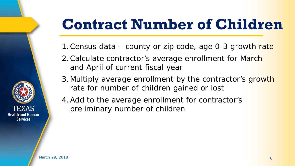# **Contract Number of Children**

- 1. Census data county or zip code, age 0-3 growth rate
- 2. Calculate contractor's average enrollment for March and April of current fiscal year
- 3. Multiply average enrollment by the contractor's growth rate for number of children gained or lost
- 4.Add to the average enrollment for contractor's preliminary number of children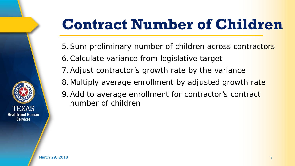# **Contract Number of Children**

- 5.Sum preliminary number of children across contractors
- 6.Calculate variance from legislative target
- 7.Adjust contractor's growth rate by the variance
- 8.Multiply average enrollment by adjusted growth rate
- 9. Add to average enrollment for contractor's contract number of children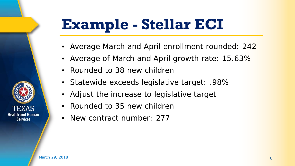# **Example - Stellar ECI**

- Average March and April enrollment rounded: 242
- Average of March and April growth rate: 15.63%
- Rounded to 38 new children
- Statewide exceeds legislative target: .98%
- Adjust the increase to legislative target
- Rounded to 35 new children
- New contract number: 277

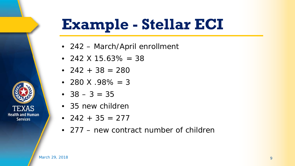# **Example - Stellar ECI**

- 242 March/April enrollment
- 242  $\times$  15.63% = 38
- $242 + 38 = 280$
- 280 X .98% = 3
- $38 3 = 35$
- 35 new children
- 242 + 35 = 277
- 277 new contract number of children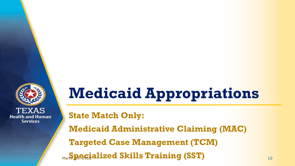

# **Medicaid Appropriations**

**State Match Only:**

**Medicaid Administrative Claiming (MAC)**

**Targeted Case Management (TCM)**

**Specialized Skills Training (SST) March 2018 10 2018 10 2019 10 2018 10 2018 10 2018 10 2018 10 2018 10 2018 10 2018 10 2018 10 2018 10 2018 10 2018 10 2019 10 2019 10 2019 10 2019 10 2019 10 2019 10 2019 10 2019 10 201**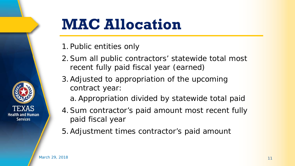

## **MAC Allocation**

- 1.Public entities only
- 2.Sum all public contractors' statewide total most recent fully paid fiscal year (earned)
- 3.Adjusted to appropriation of the upcoming contract year:
	- a.Appropriation divided by statewide total paid
- 4.Sum contractor's paid amount most recent fully paid fiscal year
- 5.Adjustment times contractor's paid amount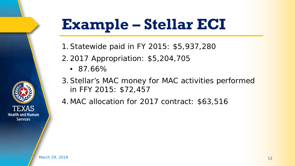# **Example – Stellar ECI**

- 1.Statewide paid in FY 2015: \$5,937,280
- 2.2017 Appropriation: \$5,204,705
	- 87.66%
- 3.Stellar's MAC money for MAC activities performed in FFY 2015: \$72,457
- 4.MAC allocation for 2017 contract: \$63,516

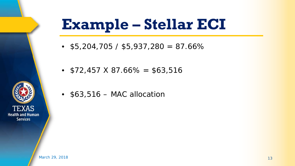# **Example – Stellar ECI**

- $$5,204,705 / $5,937,280 = 87.66\%$
- $$72,457 \times 87.66\% = $63,516$
- \$63,516 MAC allocation

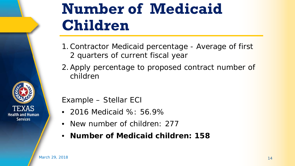

### **Number of Medicaid Children**

- 1.Contractor Medicaid percentage Average of first 2 quarters of current fiscal year
- 2.Apply percentage to proposed contract number of children

Example – Stellar ECI

- 2016 Medicaid %: 56.9%
- New number of children: 277
- **Number of Medicaid children: 158**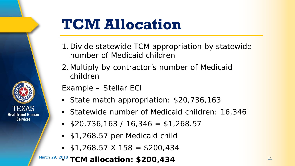

# **TCM Allocation**

- 1.Divide statewide TCM appropriation by statewide number of Medicaid children
- 2.Multiply by contractor's number of Medicaid children

Example – Stellar ECI

- State match appropriation: \$20,736,163
- Statewide number of Medicaid children: 16,346
- $$20,736,163 / 16,346 = $1,268.57$
- \$1,268.57 per Medicaid child
- $$1,268.57 \times 158 = $200,434$

**March 29, 2018 TCM allocation: \$200,434** 15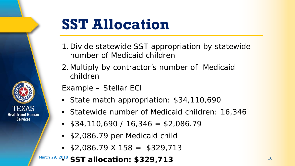

# **SST Allocation**

- 1.Divide statewide SST appropriation by statewide number of Medicaid children
- 2.Multiply by contractor's number of Medicaid children

Example – Stellar ECI

- State match appropriation: \$34,110,690
- Statewide number of Medicaid children: 16,346
- $$34,110,690 / 16,346 = $2,086.79$
- \$2,086.79 per Medicaid child
- $$2,086.79 \times 158 = $329,713$

#### **March 29, 2018 SST allocation: \$329,713** 16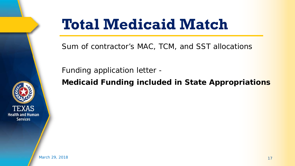

## **Total Medicaid Match**

Sum of contractor's MAC, TCM, and SST allocations

Funding application letter -

**Medicaid Funding included in State Appropriations**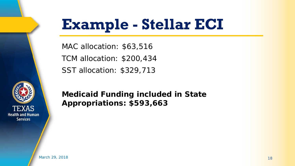

# **Example - Stellar ECI**

MAC allocation: \$63,516 TCM allocation: \$200,434 SST allocation: \$329,713

**Medicaid Funding included in State Appropriations: \$593,663**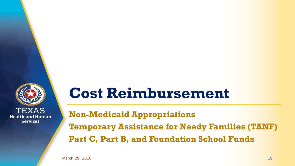

#### **Cost Reimbursement**

**Non-Medicaid Appropriations Temporary Assistance for Needy Families (TANF) Part C, Part B, and Foundation School Funds**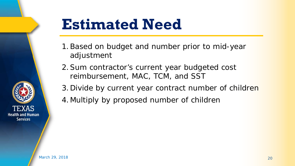

#### **Estimated Need**

- 1.Based on budget and number prior to mid-year adjustment
- 2.Sum contractor's current year budgeted cost reimbursement, MAC, TCM, and SST
- 3.Divide by current year contract number of children
- 4.Multiply by proposed number of children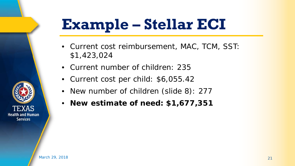# **Example – Stellar ECI**

- Current cost reimbursement, MAC, TCM, SST: \$1,423,024
- Current number of children: 235
- Current cost per child: \$6,055.42
- New number of children (slide 8): 277
- **New estimate of need: \$1,677,351**

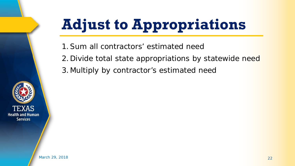# **Adjust to Appropriations**

1.Sum all contractors' estimated need

- 2.Divide total state appropriations by statewide need
- 3.Multiply by contractor's estimated need

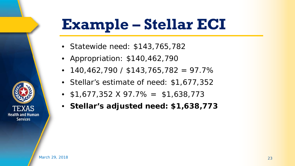# **Example – Stellar ECI**

- Statewide need: \$143,765,782
- Appropriation: \$140,462,790
- 140,462,790 / \$143,765,782 = 97.7%
- Stellar's estimate of need: \$1,677,352
- $$1,677,352 \times 97.7\% = $1,638,773$
- **Stellar's adjusted need: \$1,638,773**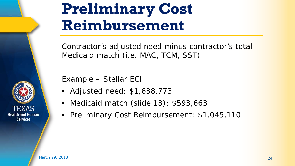

### **Preliminary Cost Reimbursement**

Contractor's adjusted need minus contractor's total Medicaid match (i.e. MAC, TCM, SST)

Example – Stellar ECI

- Adjusted need: \$1,638,773
- Medicaid match (slide 18): \$593,663
- Preliminary Cost Reimbursement: \$1,045,110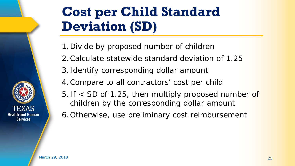#### **Cost per Child Standard Deviation (SD)**

- 1.Divide by proposed number of children
- 2.Calculate statewide standard deviation of 1.25
- 3. Identify corresponding dollar amount
- 4.Compare to all contractors' cost per child
- 5. If < SD of 1.25, then multiply proposed number of children by the corresponding dollar amount
- 6.Otherwise, use preliminary cost reimbursement

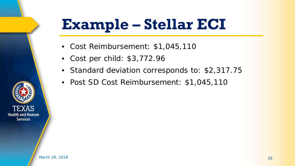# **Example – Stellar ECI**

- Cost Reimbursement: \$1,045,110
- Cost per child: \$3,772.96
- Standard deviation corresponds to: \$2,317.75
- Post SD Cost Reimbursement: \$1,045,110

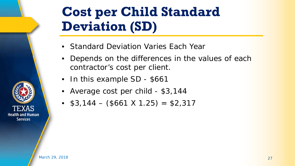#### **Cost per Child Standard Deviation (SD)**

- Standard Deviation Varies Each Year
- Depends on the differences in the values of each contractor's cost per client.
- In this example SD \$661
- Average cost per child \$3,144
- $$3,144 ($661 X 1.25) = $2,317$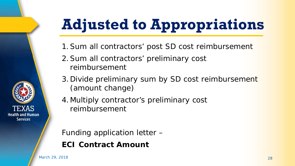# **Adjusted to Appropriations**

- 1.Sum all contractors' post SD cost reimbursement
- 2.Sum all contractors' preliminary cost reimbursement
- 3.Divide preliminary sum by SD cost reimbursement (amount change)
- 4.Multiply contractor's preliminary cost reimbursement

Funding application letter – **ECI Contract Amount**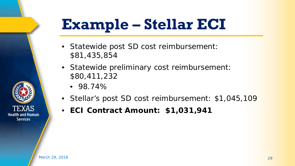# **Example – Stellar ECI**

- Statewide post SD cost reimbursement: \$81,435,854
- Statewide preliminary cost reimbursement: \$80,411,232
	- 98.74%
- Stellar's post SD cost reimbursement: \$1,045,109
- **ECI Contract Amount: \$1,031,941**

March 29, 2018 29 29 20 20 20 20 20 21 22 23 24 25 26 27 28 29 29 20 21 22 23 24 25 26 27 27 27 27 27 27 27 27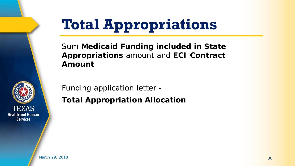

# **Total Appropriations**

Sum **Medicaid Funding included in State Appropriations** amount and **ECI Contract Amount**

Funding application letter - **Total Appropriation Allocation**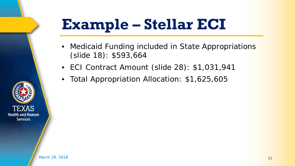# **Example – Stellar ECI**

- Medicaid Funding included in State Appropriations (slide 18): \$593,664
- ECI Contract Amount (slide 28): \$1,031,941
- Total Appropriation Allocation: \$1,625,605

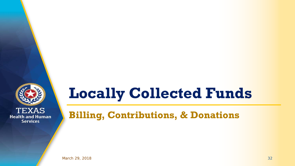

#### **Locally Collected Funds**

**Billing, Contributions, & Donations**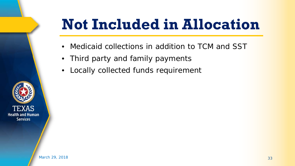# **Not Included in Allocation**

- Medicaid collections in addition to TCM and SST
- Third party and family payments
- Locally collected funds requirement

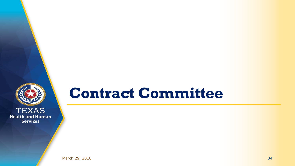

#### **Contract Committee**

March 29, 2018 34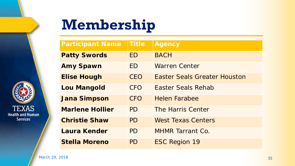

# **Membership**

| <b>Participant Name</b> | <b>Title</b> | <b>Agency</b>                       |
|-------------------------|--------------|-------------------------------------|
| <b>Patty Swords</b>     | <b>FD</b>    | <b>BACH</b>                         |
| <b>Amy Spawn</b>        | <b>ED</b>    | <b>Warren Center</b>                |
| <b>Elise Hough</b>      | CEO          | <b>Easter Seals Greater Houston</b> |
| <b>Lou Mangold</b>      | <b>CFO</b>   | Easter Seals Rehab                  |
| <b>Jana Simpson</b>     | <b>CFO</b>   | <b>Helen Farabee</b>                |
| <b>Marlene Hollier</b>  | PD           | The Harris Center                   |
| <b>Christie Shaw</b>    | PD           | <b>West Texas Centers</b>           |
| Laura Kender            | PD           | <b>MHMR Tarrant Co.</b>             |
| <b>Stella Moreno</b>    | PD           | <b>ESC Region 19</b>                |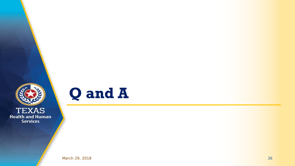



March 29, 2018 36